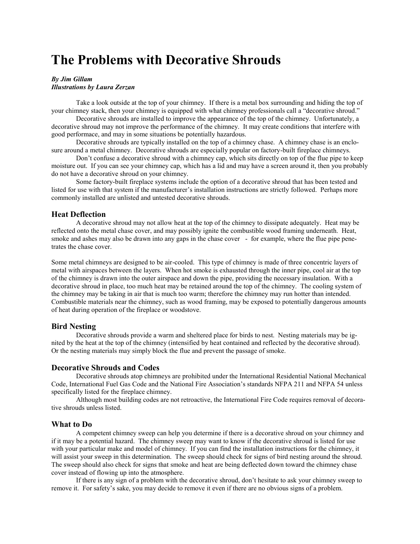# **The Problems with Decorative Shrouds**

## *By Jim Gillam*

### *Illustrations by Laura Zerzan*

Take a look outside at the top of your chimney. If there is a metal box surrounding and hiding the top of your chimney stack, then your chimney is equipped with what chimney professionals call a "decorative shroud."

Decorative shrouds are installed to improve the appearance of the top of the chimney. Unfortunately, a decorative shroud may not improve the performance of the chimney. It may create conditions that interfere with good performace, and may in some situations be potentially hazardous.

Decorative shrouds are typically installed on the top of a chimney chase. A chimney chase is an enclosure around a metal chimney. Decorative shrouds are especially popular on factory-built fireplace chimneys.

Don't confuse a decorative shroud with a chimney cap, which sits directly on top of the flue pipe to keep moisture out. If you can see your chimney cap, which has a lid and may have a screen around it, then you probably do not have a decorative shroud on your chimney.

Some factory-built fireplace systems include the option of a decorative shroud that has been tested and listed for use with that system if the manufacturer's installation instructions are strictly followed. Perhaps more commonly installed are unlisted and untested decorative shrouds.

### **Heat Deflection**

A decorative shroud may not allow heat at the top of the chimney to dissipate adequately. Heat may be reflected onto the metal chase cover, and may possibly ignite the combustible wood framing underneath. Heat, smoke and ashes may also be drawn into any gaps in the chase cover - for example, where the flue pipe penetrates the chase cover.

Some metal chimneys are designed to be air-cooled. This type of chimney is made of three concentric layers of metal with airspaces between the layers. When hot smoke is exhausted through the inner pipe, cool air at the top of the chimney is drawn into the outer airspace and down the pipe, providing the necessary insulation. With a decorative shroud in place, too much heat may be retained around the top of the chimney. The cooling system of the chimney may be taking in air that is much too warm; therefore the chimney may run hotter than intended. Combustible materials near the chimney, such as wood framing, may be exposed to potentially dangerous amounts of heat during operation of the fireplace or woodstove.

## **Bird Nesting**

Decorative shrouds provide a warm and sheltered place for birds to nest. Nesting materials may be ignited by the heat at the top of the chimney (intensified by heat contained and reflected by the decorative shroud). Or the nesting materials may simply block the flue and prevent the passage of smoke.

#### **Decorative Shrouds and Codes**

Decorative shrouds atop chimneys are prohibited under the International Residential National Mechanical Code, International Fuel Gas Code and the National Fire Association's standards NFPA 211 and NFPA 54 unless specifically listed for the fireplace chimney.

Although most building codes are not retroactive, the International Fire Code requires removal of decorative shrouds unless listed.

## **What to Do**

A competent chimney sweep can help you determine if there is a decorative shroud on your chimney and if it may be a potential hazard. The chimney sweep may want to know if the decorative shroud is listed for use with your particular make and model of chimney. If you can find the installation instructions for the chimney, it will assist your sweep in this determination. The sweep should check for signs of bird nesting around the shroud. The sweep should also check for signs that smoke and heat are being deflected down toward the chimney chase cover instead of flowing up into the atmosphere.

If there is any sign of a problem with the decorative shroud, don't hesitate to ask your chimney sweep to remove it. For safety's sake, you may decide to remove it even if there are no obvious signs of a problem.